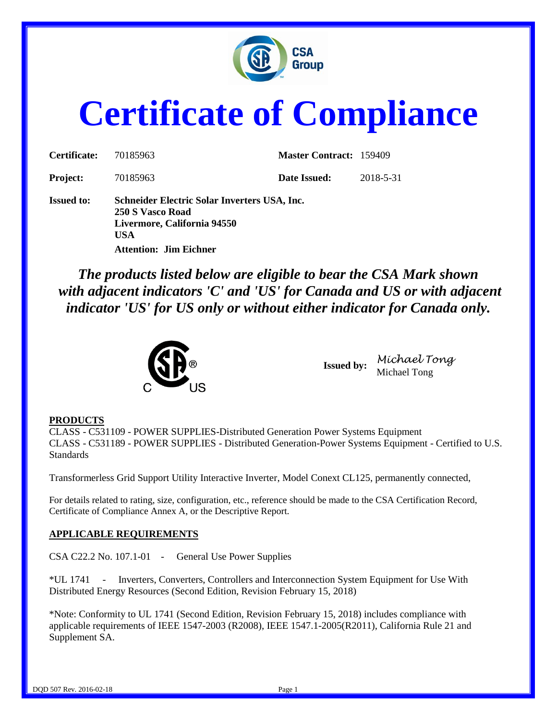

# **Certificate of Compliance**

| Certificate:      | 70185963                                                                                               | <b>Master Contract: 159409</b> |           |  |
|-------------------|--------------------------------------------------------------------------------------------------------|--------------------------------|-----------|--|
| <b>Project:</b>   | 70185963                                                                                               | Date Issued:                   | 2018-5-31 |  |
| <b>Issued to:</b> | Schneider Electric Solar Inverters USA, Inc.<br>250 S Vasco Road<br>Livermore, California 94550<br>USA |                                |           |  |
|                   | <b>Attention: Jim Eichner</b>                                                                          |                                |           |  |

*The products listed below are eligible to bear the CSA Mark shown with adjacent indicators 'C' and 'US' for Canada and US or with adjacent indicator 'US' for US only or without either indicator for Canada only.*



**Issued by:** *Michael Tong* Michael Tong

#### **PRODUCTS**

CLASS - C531109 - POWER SUPPLIES-Distributed Generation Power Systems Equipment CLASS - C531189 - POWER SUPPLIES - Distributed Generation-Power Systems Equipment - Certified to U.S. Standards

Transformerless Grid Support Utility Interactive Inverter, Model Conext CL125, permanently connected,

For details related to rating, size, configuration, etc., reference should be made to the CSA Certification Record, Certificate of Compliance Annex A, or the Descriptive Report.

#### **APPLICABLE REQUIREMENTS**

CSA C22.2 No. 107.1-01 - General Use Power Supplies

\*UL 1741 - Inverters, Converters, Controllers and Interconnection System Equipment for Use With Distributed Energy Resources (Second Edition, Revision February 15, 2018)

\*Note: Conformity to UL 1741 (Second Edition, Revision February 15, 2018) includes compliance with applicable requirements of IEEE 1547-2003 (R2008), IEEE 1547.1-2005(R2011), California Rule 21 and Supplement SA.